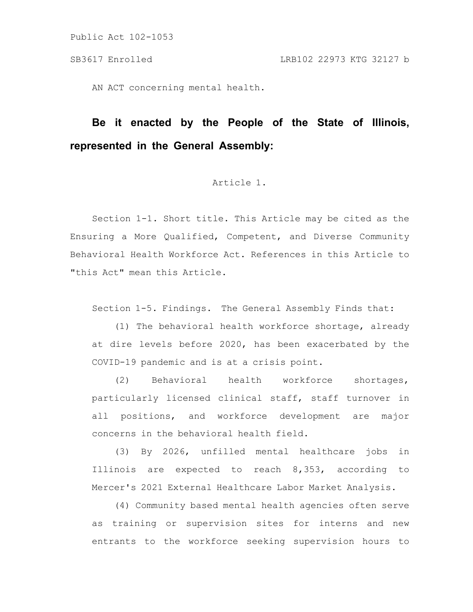AN ACT concerning mental health.

# **Be it enacted by the People of the State of Illinois, represented in the General Assembly:**

## Article 1.

Section 1-1. Short title. This Article may be cited as the Ensuring a More Qualified, Competent, and Diverse Community Behavioral Health Workforce Act. References in this Article to "this Act" mean this Article.

Section 1-5. Findings. The General Assembly Finds that:

(1) The behavioral health workforce shortage, already at dire levels before 2020, has been exacerbated by the COVID-19 pandemic and is at a crisis point.

(2) Behavioral health workforce shortages, particularly licensed clinical staff, staff turnover in all positions, and workforce development are major concerns in the behavioral health field.

(3) By 2026, unfilled mental healthcare jobs in Illinois are expected to reach 8,353, according to Mercer's 2021 External Healthcare Labor Market Analysis.

(4) Community based mental health agencies often serve as training or supervision sites for interns and new entrants to the workforce seeking supervision hours to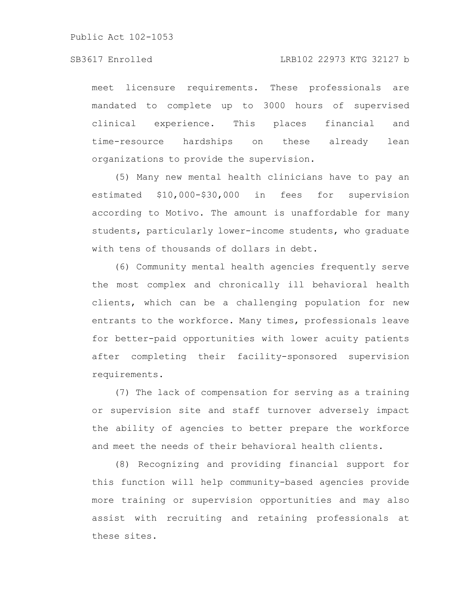meet licensure requirements. These professionals are mandated to complete up to 3000 hours of supervised clinical experience. This places financial and time-resource hardships on these already lean organizations to provide the supervision.

(5) Many new mental health clinicians have to pay an estimated \$10,000-\$30,000 in fees for supervision according to Motivo. The amount is unaffordable for many students, particularly lower-income students, who graduate with tens of thousands of dollars in debt.

(6) Community mental health agencies frequently serve the most complex and chronically ill behavioral health clients, which can be a challenging population for new entrants to the workforce. Many times, professionals leave for better-paid opportunities with lower acuity patients after completing their facility-sponsored supervision requirements.

(7) The lack of compensation for serving as a training or supervision site and staff turnover adversely impact the ability of agencies to better prepare the workforce and meet the needs of their behavioral health clients.

(8) Recognizing and providing financial support for this function will help community-based agencies provide more training or supervision opportunities and may also assist with recruiting and retaining professionals at these sites.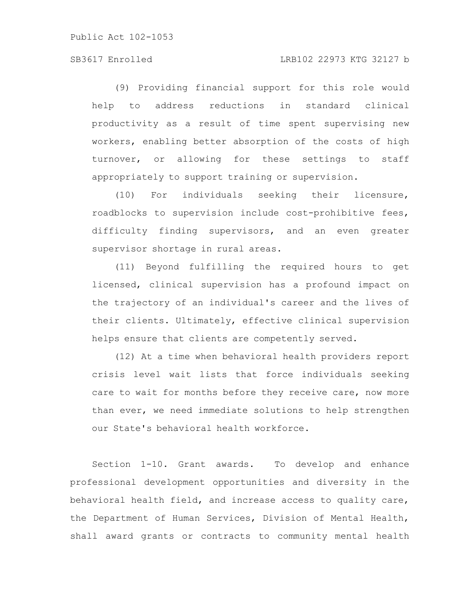(9) Providing financial support for this role would help to address reductions in standard clinical productivity as a result of time spent supervising new workers, enabling better absorption of the costs of high turnover, or allowing for these settings to staff appropriately to support training or supervision.

(10) For individuals seeking their licensure, roadblocks to supervision include cost-prohibitive fees, difficulty finding supervisors, and an even greater supervisor shortage in rural areas.

(11) Beyond fulfilling the required hours to get licensed, clinical supervision has a profound impact on the trajectory of an individual's career and the lives of their clients. Ultimately, effective clinical supervision helps ensure that clients are competently served.

(12) At a time when behavioral health providers report crisis level wait lists that force individuals seeking care to wait for months before they receive care, now more than ever, we need immediate solutions to help strengthen our State's behavioral health workforce.

Section 1-10. Grant awards. To develop and enhance professional development opportunities and diversity in the behavioral health field, and increase access to quality care, the Department of Human Services, Division of Mental Health, shall award grants or contracts to community mental health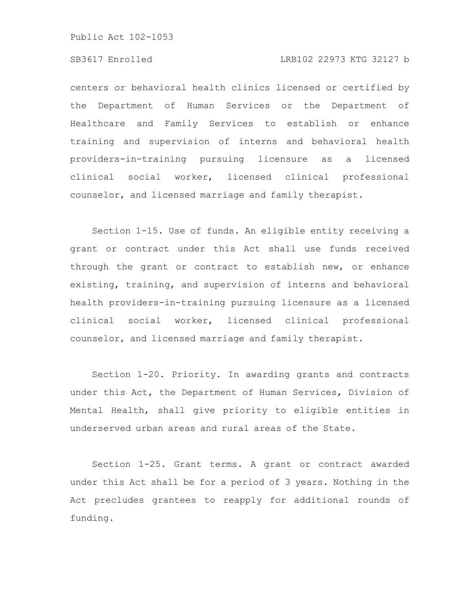#### SB3617 Enrolled LRB102 22973 KTG 32127 b

centers or behavioral health clinics licensed or certified by the Department of Human Services or the Department of Healthcare and Family Services to establish or enhance training and supervision of interns and behavioral health providers-in-training pursuing licensure as a licensed clinical social worker, licensed clinical professional counselor, and licensed marriage and family therapist.

Section 1-15. Use of funds. An eligible entity receiving a grant or contract under this Act shall use funds received through the grant or contract to establish new, or enhance existing, training, and supervision of interns and behavioral health providers-in-training pursuing licensure as a licensed clinical social worker, licensed clinical professional counselor, and licensed marriage and family therapist.

Section 1-20. Priority. In awarding grants and contracts under this Act, the Department of Human Services, Division of Mental Health, shall give priority to eligible entities in underserved urban areas and rural areas of the State.

Section 1-25. Grant terms. A grant or contract awarded under this Act shall be for a period of 3 years. Nothing in the Act precludes grantees to reapply for additional rounds of funding.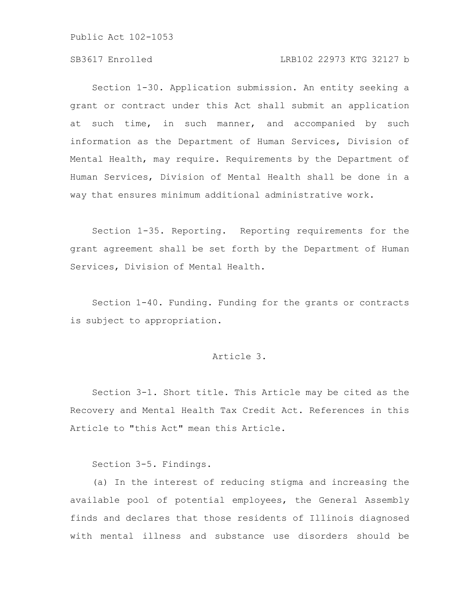#### SB3617 Enrolled LRB102 22973 KTG 32127 b

Section 1-30. Application submission. An entity seeking a grant or contract under this Act shall submit an application at such time, in such manner, and accompanied by such information as the Department of Human Services, Division of Mental Health, may require. Requirements by the Department of Human Services, Division of Mental Health shall be done in a way that ensures minimum additional administrative work.

Section 1-35. Reporting. Reporting requirements for the grant agreement shall be set forth by the Department of Human Services, Division of Mental Health.

Section 1-40. Funding. Funding for the grants or contracts is subject to appropriation.

### Article 3.

Section 3-1. Short title. This Article may be cited as the Recovery and Mental Health Tax Credit Act. References in this Article to "this Act" mean this Article.

Section 3-5. Findings.

(a) In the interest of reducing stigma and increasing the available pool of potential employees, the General Assembly finds and declares that those residents of Illinois diagnosed with mental illness and substance use disorders should be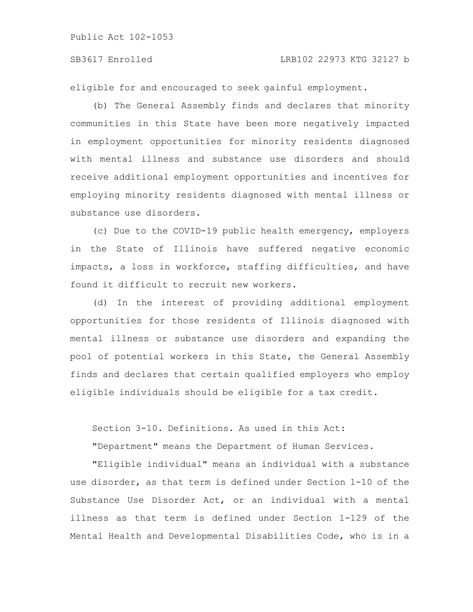#### SB3617 Enrolled LRB102 22973 KTG 32127 b

eligible for and encouraged to seek gainful employment.

(b) The General Assembly finds and declares that minority communities in this State have been more negatively impacted in employment opportunities for minority residents diagnosed with mental illness and substance use disorders and should receive additional employment opportunities and incentives for employing minority residents diagnosed with mental illness or substance use disorders.

(c) Due to the COVID-19 public health emergency, employers in the State of Illinois have suffered negative economic impacts, a loss in workforce, staffing difficulties, and have found it difficult to recruit new workers.

(d) In the interest of providing additional employment opportunities for those residents of Illinois diagnosed with mental illness or substance use disorders and expanding the pool of potential workers in this State, the General Assembly finds and declares that certain qualified employers who employ eligible individuals should be eligible for a tax credit.

Section 3-10. Definitions. As used in this Act:

"Department" means the Department of Human Services.

"Eligible individual" means an individual with a substance use disorder, as that term is defined under Section 1-10 of the Substance Use Disorder Act, or an individual with a mental illness as that term is defined under Section 1-129 of the Mental Health and Developmental Disabilities Code, who is in a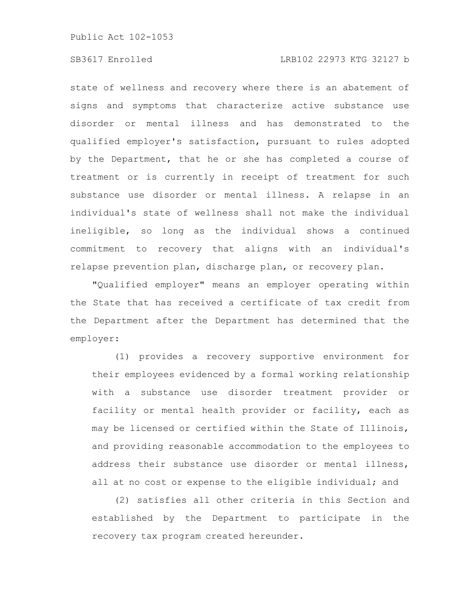#### SB3617 Enrolled LRB102 22973 KTG 32127 b

state of wellness and recovery where there is an abatement of signs and symptoms that characterize active substance use disorder or mental illness and has demonstrated to the qualified employer's satisfaction, pursuant to rules adopted by the Department, that he or she has completed a course of treatment or is currently in receipt of treatment for such substance use disorder or mental illness. A relapse in an individual's state of wellness shall not make the individual ineligible, so long as the individual shows a continued commitment to recovery that aligns with an individual's relapse prevention plan, discharge plan, or recovery plan.

"Qualified employer" means an employer operating within the State that has received a certificate of tax credit from the Department after the Department has determined that the employer:

(1) provides a recovery supportive environment for their employees evidenced by a formal working relationship with a substance use disorder treatment provider or facility or mental health provider or facility, each as may be licensed or certified within the State of Illinois, and providing reasonable accommodation to the employees to address their substance use disorder or mental illness, all at no cost or expense to the eligible individual; and

(2) satisfies all other criteria in this Section and established by the Department to participate in the recovery tax program created hereunder.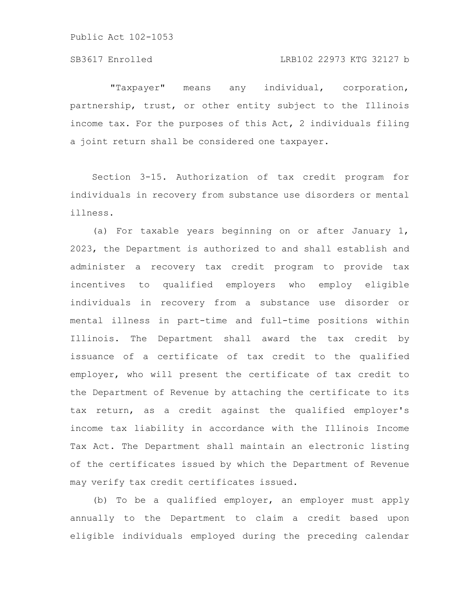"Taxpayer" means any individual, corporation, partnership, trust, or other entity subject to the Illinois income tax. For the purposes of this Act, 2 individuals filing a joint return shall be considered one taxpayer.

Section 3-15. Authorization of tax credit program for individuals in recovery from substance use disorders or mental illness.

(a) For taxable years beginning on or after January 1, 2023, the Department is authorized to and shall establish and administer a recovery tax credit program to provide tax incentives to qualified employers who employ eligible individuals in recovery from a substance use disorder or mental illness in part-time and full-time positions within Illinois. The Department shall award the tax credit by issuance of a certificate of tax credit to the qualified employer, who will present the certificate of tax credit to the Department of Revenue by attaching the certificate to its tax return, as a credit against the qualified employer's income tax liability in accordance with the Illinois Income Tax Act. The Department shall maintain an electronic listing of the certificates issued by which the Department of Revenue may verify tax credit certificates issued.

(b) To be a qualified employer, an employer must apply annually to the Department to claim a credit based upon eligible individuals employed during the preceding calendar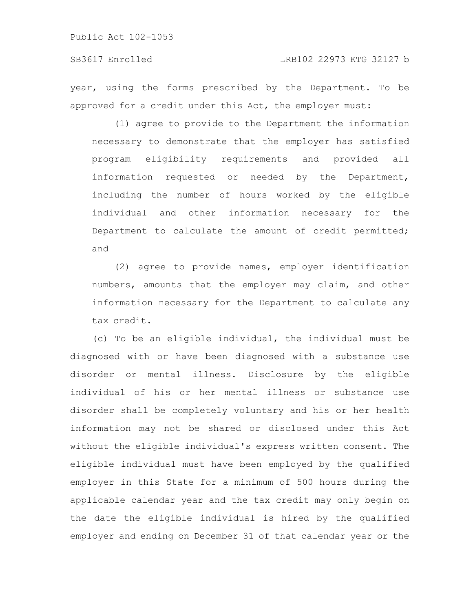#### SB3617 Enrolled LRB102 22973 KTG 32127 b

year, using the forms prescribed by the Department. To be approved for a credit under this Act, the employer must:

(1) agree to provide to the Department the information necessary to demonstrate that the employer has satisfied program eligibility requirements and provided all information requested or needed by the Department, including the number of hours worked by the eligible individual and other information necessary for the Department to calculate the amount of credit permitted; and

(2) agree to provide names, employer identification numbers, amounts that the employer may claim, and other information necessary for the Department to calculate any tax credit.

(c) To be an eligible individual, the individual must be diagnosed with or have been diagnosed with a substance use disorder or mental illness. Disclosure by the eligible individual of his or her mental illness or substance use disorder shall be completely voluntary and his or her health information may not be shared or disclosed under this Act without the eligible individual's express written consent. The eligible individual must have been employed by the qualified employer in this State for a minimum of 500 hours during the applicable calendar year and the tax credit may only begin on the date the eligible individual is hired by the qualified employer and ending on December 31 of that calendar year or the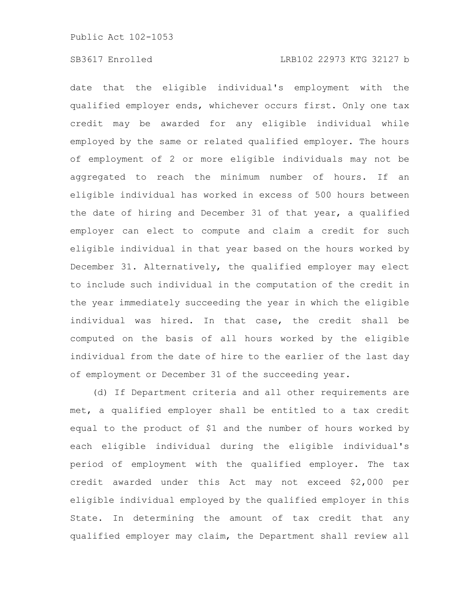#### SB3617 Enrolled LRB102 22973 KTG 32127 b

date that the eligible individual's employment with the qualified employer ends, whichever occurs first. Only one tax credit may be awarded for any eligible individual while employed by the same or related qualified employer. The hours of employment of 2 or more eligible individuals may not be aggregated to reach the minimum number of hours. If an eligible individual has worked in excess of 500 hours between the date of hiring and December 31 of that year, a qualified employer can elect to compute and claim a credit for such eligible individual in that year based on the hours worked by December 31. Alternatively, the qualified employer may elect to include such individual in the computation of the credit in the year immediately succeeding the year in which the eligible individual was hired. In that case, the credit shall be computed on the basis of all hours worked by the eligible individual from the date of hire to the earlier of the last day of employment or December 31 of the succeeding year.

(d) If Department criteria and all other requirements are met, a qualified employer shall be entitled to a tax credit equal to the product of \$1 and the number of hours worked by each eligible individual during the eligible individual's period of employment with the qualified employer. The tax credit awarded under this Act may not exceed \$2,000 per eligible individual employed by the qualified employer in this State. In determining the amount of tax credit that any qualified employer may claim, the Department shall review all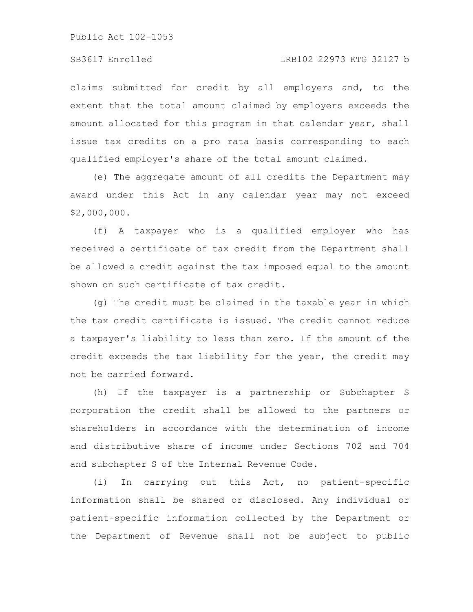### SB3617 Enrolled LRB102 22973 KTG 32127 b

claims submitted for credit by all employers and, to the extent that the total amount claimed by employers exceeds the amount allocated for this program in that calendar year, shall issue tax credits on a pro rata basis corresponding to each qualified employer's share of the total amount claimed.

(e) The aggregate amount of all credits the Department may award under this Act in any calendar year may not exceed \$2,000,000.

(f) A taxpayer who is a qualified employer who has received a certificate of tax credit from the Department shall be allowed a credit against the tax imposed equal to the amount shown on such certificate of tax credit.

(g) The credit must be claimed in the taxable year in which the tax credit certificate is issued. The credit cannot reduce a taxpayer's liability to less than zero. If the amount of the credit exceeds the tax liability for the year, the credit may not be carried forward.

(h) If the taxpayer is a partnership or Subchapter S corporation the credit shall be allowed to the partners or shareholders in accordance with the determination of income and distributive share of income under Sections 702 and 704 and subchapter S of the Internal Revenue Code.

(i) In carrying out this Act, no patient-specific information shall be shared or disclosed. Any individual or patient-specific information collected by the Department or the Department of Revenue shall not be subject to public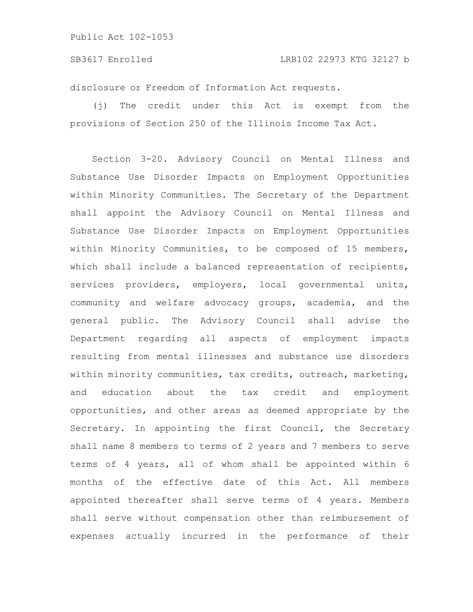disclosure or Freedom of Information Act requests.

(j) The credit under this Act is exempt from the provisions of Section 250 of the Illinois Income Tax Act.

Section 3-20. Advisory Council on Mental Illness and Substance Use Disorder Impacts on Employment Opportunities within Minority Communities. The Secretary of the Department shall appoint the Advisory Council on Mental Illness and Substance Use Disorder Impacts on Employment Opportunities within Minority Communities, to be composed of 15 members, which shall include a balanced representation of recipients, services providers, employers, local governmental units, community and welfare advocacy groups, academia, and the general public. The Advisory Council shall advise the Department regarding all aspects of employment impacts resulting from mental illnesses and substance use disorders within minority communities, tax credits, outreach, marketing, and education about the tax credit and employment opportunities, and other areas as deemed appropriate by the Secretary. In appointing the first Council, the Secretary shall name 8 members to terms of 2 years and 7 members to serve terms of 4 years, all of whom shall be appointed within 6 months of the effective date of this Act. All members appointed thereafter shall serve terms of 4 years. Members shall serve without compensation other than reimbursement of expenses actually incurred in the performance of their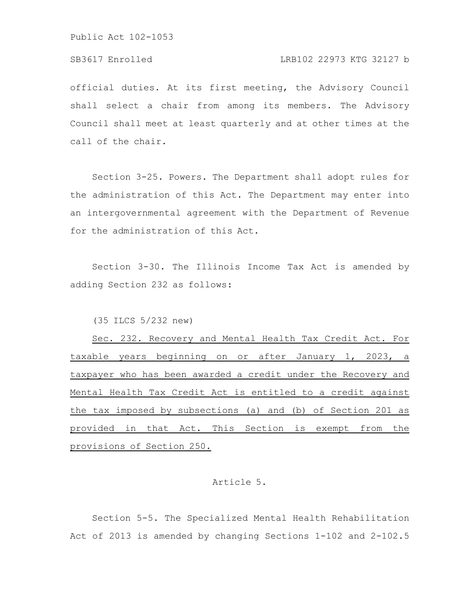### SB3617 Enrolled LRB102 22973 KTG 32127 b

official duties. At its first meeting, the Advisory Council shall select a chair from among its members. The Advisory Council shall meet at least quarterly and at other times at the call of the chair.

Section 3-25. Powers. The Department shall adopt rules for the administration of this Act. The Department may enter into an intergovernmental agreement with the Department of Revenue for the administration of this Act.

Section 3-30. The Illinois Income Tax Act is amended by adding Section 232 as follows:

(35 ILCS 5/232 new)

Sec. 232. Recovery and Mental Health Tax Credit Act. For taxable years beginning on or after January 1, 2023, a taxpayer who has been awarded a credit under the Recovery and Mental Health Tax Credit Act is entitled to a credit against the tax imposed by subsections (a) and (b) of Section 201 as provided in that Act. This Section is exempt from the provisions of Section 250.

#### Article 5.

Section 5-5. The Specialized Mental Health Rehabilitation Act of 2013 is amended by changing Sections 1-102 and 2-102.5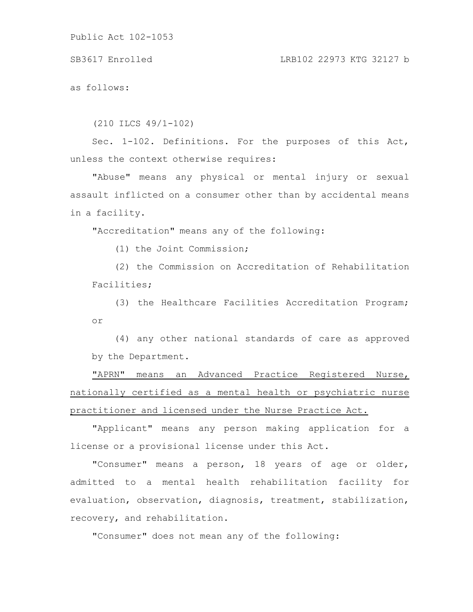SB3617 Enrolled LRB102 22973 KTG 32127 b

as follows:

(210 ILCS 49/1-102)

Sec. 1-102. Definitions. For the purposes of this Act, unless the context otherwise requires:

"Abuse" means any physical or mental injury or sexual assault inflicted on a consumer other than by accidental means in a facility.

"Accreditation" means any of the following:

(1) the Joint Commission;

(2) the Commission on Accreditation of Rehabilitation Facilities;

(3) the Healthcare Facilities Accreditation Program; or

(4) any other national standards of care as approved by the Department.

"APRN" means an Advanced Practice Registered Nurse, nationally certified as a mental health or psychiatric nurse practitioner and licensed under the Nurse Practice Act.

"Applicant" means any person making application for a license or a provisional license under this Act.

"Consumer" means a person, 18 years of age or older, admitted to a mental health rehabilitation facility for evaluation, observation, diagnosis, treatment, stabilization, recovery, and rehabilitation.

"Consumer" does not mean any of the following: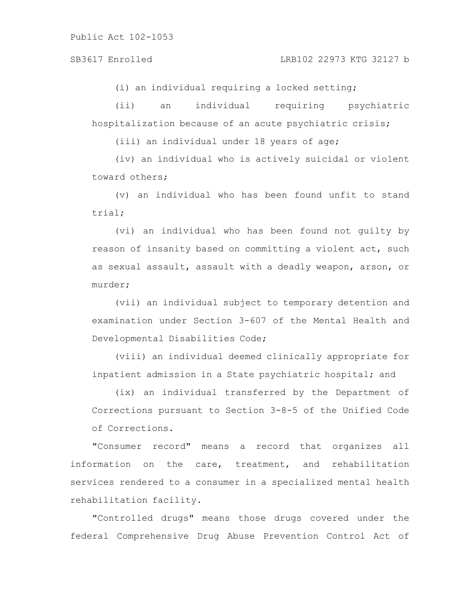#### SB3617 Enrolled LRB102 22973 KTG 32127 b

(i) an individual requiring a locked setting;

(ii) an individual requiring psychiatric hospitalization because of an acute psychiatric crisis;

(iii) an individual under 18 years of age;

(iv) an individual who is actively suicidal or violent toward others;

(v) an individual who has been found unfit to stand trial;

(vi) an individual who has been found not guilty by reason of insanity based on committing a violent act, such as sexual assault, assault with a deadly weapon, arson, or murder;

(vii) an individual subject to temporary detention and examination under Section 3-607 of the Mental Health and Developmental Disabilities Code;

(viii) an individual deemed clinically appropriate for inpatient admission in a State psychiatric hospital; and

(ix) an individual transferred by the Department of Corrections pursuant to Section 3-8-5 of the Unified Code of Corrections.

"Consumer record" means a record that organizes all information on the care, treatment, and rehabilitation services rendered to a consumer in a specialized mental health rehabilitation facility.

"Controlled drugs" means those drugs covered under the federal Comprehensive Drug Abuse Prevention Control Act of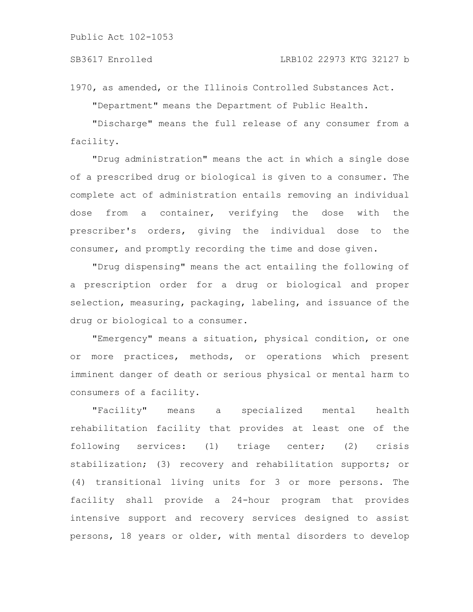1970, as amended, or the Illinois Controlled Substances Act. "Department" means the Department of Public Health.

"Discharge" means the full release of any consumer from a facility.

"Drug administration" means the act in which a single dose of a prescribed drug or biological is given to a consumer. The complete act of administration entails removing an individual dose from a container, verifying the dose with the prescriber's orders, giving the individual dose to the consumer, and promptly recording the time and dose given.

"Drug dispensing" means the act entailing the following of a prescription order for a drug or biological and proper selection, measuring, packaging, labeling, and issuance of the drug or biological to a consumer.

"Emergency" means a situation, physical condition, or one or more practices, methods, or operations which present imminent danger of death or serious physical or mental harm to consumers of a facility.

"Facility" means a specialized mental health rehabilitation facility that provides at least one of the following services: (1) triage center; (2) crisis stabilization; (3) recovery and rehabilitation supports; or (4) transitional living units for 3 or more persons. The facility shall provide a 24-hour program that provides intensive support and recovery services designed to assist persons, 18 years or older, with mental disorders to develop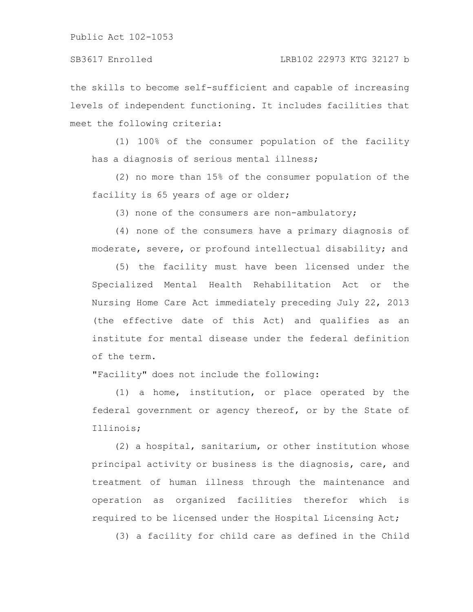the skills to become self-sufficient and capable of increasing levels of independent functioning. It includes facilities that meet the following criteria:

(1) 100% of the consumer population of the facility has a diagnosis of serious mental illness;

(2) no more than 15% of the consumer population of the facility is 65 years of age or older;

(3) none of the consumers are non-ambulatory;

(4) none of the consumers have a primary diagnosis of moderate, severe, or profound intellectual disability; and

(5) the facility must have been licensed under the Specialized Mental Health Rehabilitation Act or the Nursing Home Care Act immediately preceding July 22, 2013 (the effective date of this Act) and qualifies as an institute for mental disease under the federal definition of the term.

"Facility" does not include the following:

(1) a home, institution, or place operated by the federal government or agency thereof, or by the State of Illinois;

(2) a hospital, sanitarium, or other institution whose principal activity or business is the diagnosis, care, and treatment of human illness through the maintenance and operation as organized facilities therefor which is required to be licensed under the Hospital Licensing Act;

(3) a facility for child care as defined in the Child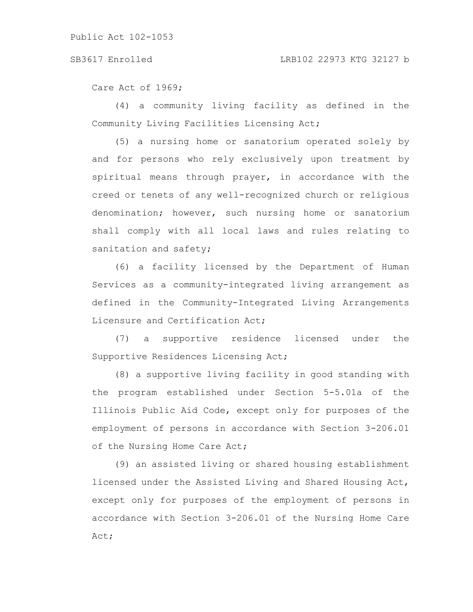Care Act of 1969;

(4) a community living facility as defined in the Community Living Facilities Licensing Act;

(5) a nursing home or sanatorium operated solely by and for persons who rely exclusively upon treatment by spiritual means through prayer, in accordance with the creed or tenets of any well-recognized church or religious denomination; however, such nursing home or sanatorium shall comply with all local laws and rules relating to sanitation and safety;

(6) a facility licensed by the Department of Human Services as a community-integrated living arrangement as defined in the Community-Integrated Living Arrangements Licensure and Certification Act;

(7) a supportive residence licensed under the Supportive Residences Licensing Act;

(8) a supportive living facility in good standing with the program established under Section 5-5.01a of the Illinois Public Aid Code, except only for purposes of the employment of persons in accordance with Section 3-206.01 of the Nursing Home Care Act;

(9) an assisted living or shared housing establishment licensed under the Assisted Living and Shared Housing Act, except only for purposes of the employment of persons in accordance with Section 3-206.01 of the Nursing Home Care Act;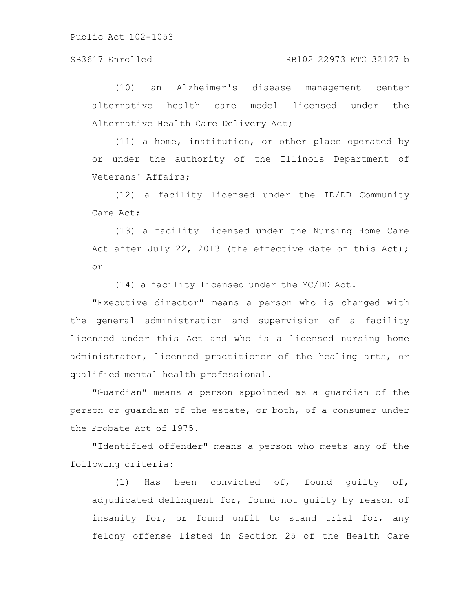(10) an Alzheimer's disease management center alternative health care model licensed under the Alternative Health Care Delivery Act;

(11) a home, institution, or other place operated by or under the authority of the Illinois Department of Veterans' Affairs;

(12) a facility licensed under the ID/DD Community Care Act;

(13) a facility licensed under the Nursing Home Care Act after July 22, 2013 (the effective date of this Act); or

(14) a facility licensed under the MC/DD Act.

"Executive director" means a person who is charged with the general administration and supervision of a facility licensed under this Act and who is a licensed nursing home administrator, licensed practitioner of the healing arts, or qualified mental health professional.

"Guardian" means a person appointed as a guardian of the person or guardian of the estate, or both, of a consumer under the Probate Act of 1975.

"Identified offender" means a person who meets any of the following criteria:

(1) Has been convicted of, found guilty of, adjudicated delinquent for, found not guilty by reason of insanity for, or found unfit to stand trial for, any felony offense listed in Section 25 of the Health Care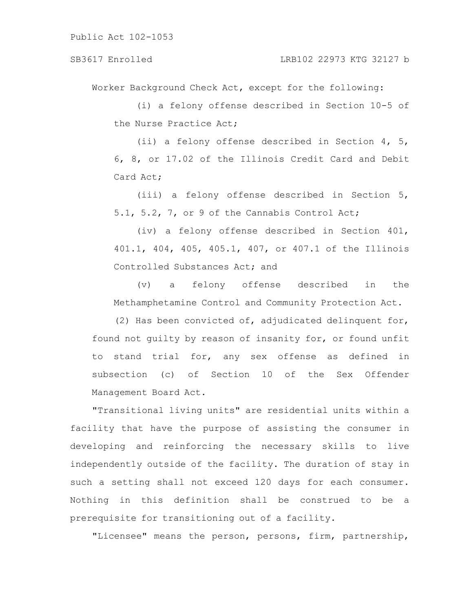Worker Background Check Act, except for the following:

(i) a felony offense described in Section 10-5 of the Nurse Practice Act;

(ii) a felony offense described in Section 4, 5, 6, 8, or 17.02 of the Illinois Credit Card and Debit Card Act;

(iii) a felony offense described in Section 5, 5.1, 5.2, 7, or 9 of the Cannabis Control Act;

(iv) a felony offense described in Section 401, 401.1, 404, 405, 405.1, 407, or 407.1 of the Illinois Controlled Substances Act; and

(v) a felony offense described in the Methamphetamine Control and Community Protection Act.

(2) Has been convicted of, adjudicated delinquent for, found not guilty by reason of insanity for, or found unfit to stand trial for, any sex offense as defined in subsection (c) of Section 10 of the Sex Offender Management Board Act.

"Transitional living units" are residential units within a facility that have the purpose of assisting the consumer in developing and reinforcing the necessary skills to live independently outside of the facility. The duration of stay in such a setting shall not exceed 120 days for each consumer. Nothing in this definition shall be construed to be a prerequisite for transitioning out of a facility.

"Licensee" means the person, persons, firm, partnership,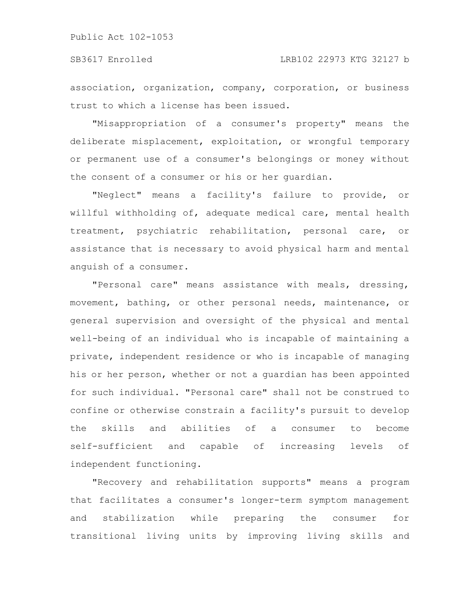association, organization, company, corporation, or business trust to which a license has been issued.

"Misappropriation of a consumer's property" means the deliberate misplacement, exploitation, or wrongful temporary or permanent use of a consumer's belongings or money without the consent of a consumer or his or her guardian.

"Neglect" means a facility's failure to provide, or willful withholding of, adequate medical care, mental health treatment, psychiatric rehabilitation, personal care, or assistance that is necessary to avoid physical harm and mental anguish of a consumer.

"Personal care" means assistance with meals, dressing, movement, bathing, or other personal needs, maintenance, or general supervision and oversight of the physical and mental well-being of an individual who is incapable of maintaining a private, independent residence or who is incapable of managing his or her person, whether or not a guardian has been appointed for such individual. "Personal care" shall not be construed to confine or otherwise constrain a facility's pursuit to develop the skills and abilities of a consumer to become self-sufficient and capable of increasing levels of independent functioning.

"Recovery and rehabilitation supports" means a program that facilitates a consumer's longer-term symptom management and stabilization while preparing the consumer for transitional living units by improving living skills and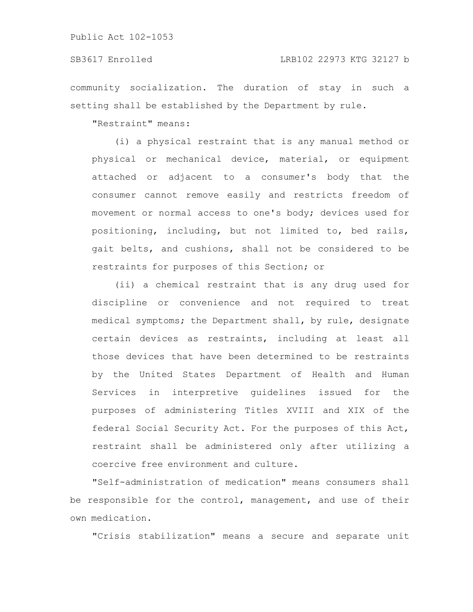community socialization. The duration of stay in such a setting shall be established by the Department by rule.

"Restraint" means:

(i) a physical restraint that is any manual method or physical or mechanical device, material, or equipment attached or adjacent to a consumer's body that the consumer cannot remove easily and restricts freedom of movement or normal access to one's body; devices used for positioning, including, but not limited to, bed rails, gait belts, and cushions, shall not be considered to be restraints for purposes of this Section; or

(ii) a chemical restraint that is any drug used for discipline or convenience and not required to treat medical symptoms; the Department shall, by rule, designate certain devices as restraints, including at least all those devices that have been determined to be restraints by the United States Department of Health and Human Services in interpretive guidelines issued for the purposes of administering Titles XVIII and XIX of the federal Social Security Act. For the purposes of this Act, restraint shall be administered only after utilizing a coercive free environment and culture.

"Self-administration of medication" means consumers shall be responsible for the control, management, and use of their own medication.

"Crisis stabilization" means a secure and separate unit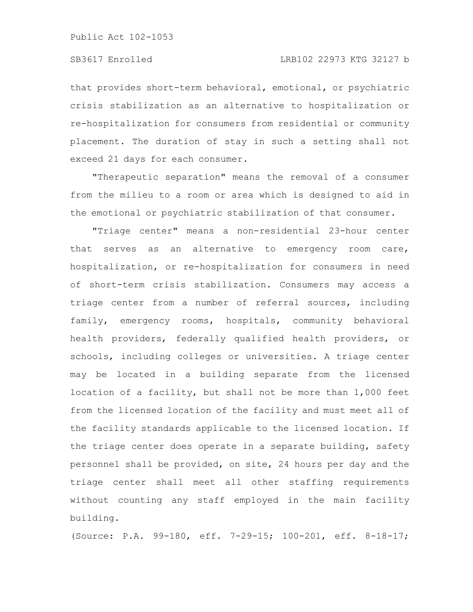that provides short-term behavioral, emotional, or psychiatric crisis stabilization as an alternative to hospitalization or re-hospitalization for consumers from residential or community placement. The duration of stay in such a setting shall not exceed 21 days for each consumer.

"Therapeutic separation" means the removal of a consumer from the milieu to a room or area which is designed to aid in the emotional or psychiatric stabilization of that consumer.

"Triage center" means a non-residential 23-hour center that serves as an alternative to emergency room care, hospitalization, or re-hospitalization for consumers in need of short-term crisis stabilization. Consumers may access a triage center from a number of referral sources, including family, emergency rooms, hospitals, community behavioral health providers, federally qualified health providers, or schools, including colleges or universities. A triage center may be located in a building separate from the licensed location of a facility, but shall not be more than 1,000 feet from the licensed location of the facility and must meet all of the facility standards applicable to the licensed location. If the triage center does operate in a separate building, safety personnel shall be provided, on site, 24 hours per day and the triage center shall meet all other staffing requirements without counting any staff employed in the main facility building.

(Source: P.A. 99-180, eff. 7-29-15; 100-201, eff. 8-18-17;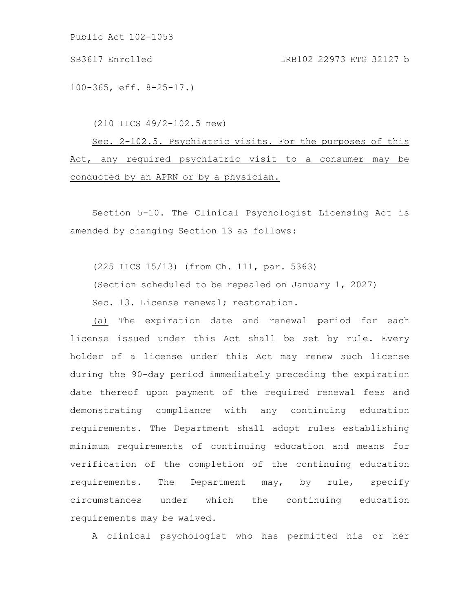SB3617 Enrolled LRB102 22973 KTG 32127 b

100-365, eff. 8-25-17.)

(210 ILCS 49/2-102.5 new)

Sec. 2-102.5. Psychiatric visits. For the purposes of this Act, any required psychiatric visit to a consumer may be conducted by an APRN or by a physician.

Section 5-10. The Clinical Psychologist Licensing Act is amended by changing Section 13 as follows:

(225 ILCS 15/13) (from Ch. 111, par. 5363)

(Section scheduled to be repealed on January 1, 2027)

Sec. 13. License renewal; restoration.

(a) The expiration date and renewal period for each license issued under this Act shall be set by rule. Every holder of a license under this Act may renew such license during the 90-day period immediately preceding the expiration date thereof upon payment of the required renewal fees and demonstrating compliance with any continuing education requirements. The Department shall adopt rules establishing minimum requirements of continuing education and means for verification of the completion of the continuing education requirements. The Department may, by rule, specify circumstances under which the continuing education requirements may be waived.

A clinical psychologist who has permitted his or her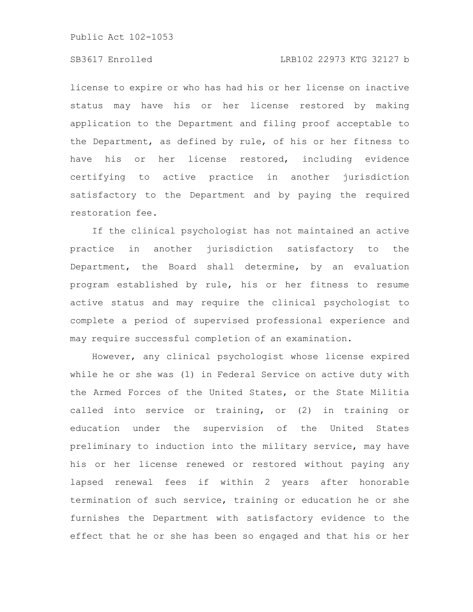### SB3617 Enrolled LRB102 22973 KTG 32127 b

license to expire or who has had his or her license on inactive status may have his or her license restored by making application to the Department and filing proof acceptable to the Department, as defined by rule, of his or her fitness to have his or her license restored, including evidence certifying to active practice in another jurisdiction satisfactory to the Department and by paying the required restoration fee.

If the clinical psychologist has not maintained an active practice in another jurisdiction satisfactory to the Department, the Board shall determine, by an evaluation program established by rule, his or her fitness to resume active status and may require the clinical psychologist to complete a period of supervised professional experience and may require successful completion of an examination.

However, any clinical psychologist whose license expired while he or she was (1) in Federal Service on active duty with the Armed Forces of the United States, or the State Militia called into service or training, or (2) in training or education under the supervision of the United States preliminary to induction into the military service, may have his or her license renewed or restored without paying any lapsed renewal fees if within 2 years after honorable termination of such service, training or education he or she furnishes the Department with satisfactory evidence to the effect that he or she has been so engaged and that his or her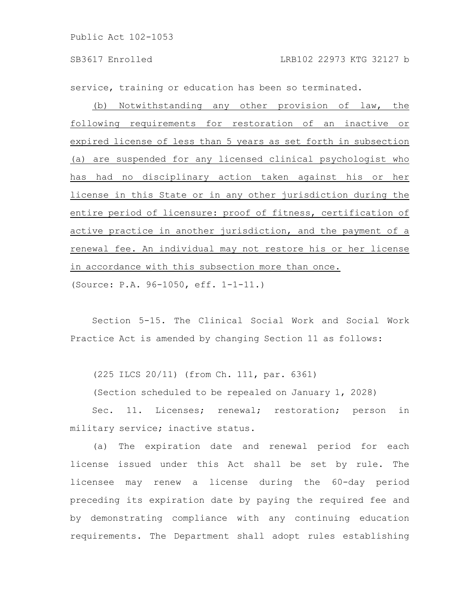SB3617 Enrolled LRB102 22973 KTG 32127 b

service, training or education has been so terminated.

(b) Notwithstanding any other provision of law, the following requirements for restoration of an inactive or expired license of less than 5 years as set forth in subsection (a) are suspended for any licensed clinical psychologist who has had no disciplinary action taken against his or her license in this State or in any other jurisdiction during the entire period of licensure: proof of fitness, certification of active practice in another jurisdiction, and the payment of a renewal fee. An individual may not restore his or her license in accordance with this subsection more than once.

(Source: P.A. 96-1050, eff. 1-1-11.)

Section 5-15. The Clinical Social Work and Social Work Practice Act is amended by changing Section 11 as follows:

(225 ILCS 20/11) (from Ch. 111, par. 6361)

(Section scheduled to be repealed on January 1, 2028)

Sec. 11. Licenses; renewal; restoration; person in military service; inactive status.

(a) The expiration date and renewal period for each license issued under this Act shall be set by rule. The licensee may renew a license during the 60-day period preceding its expiration date by paying the required fee and by demonstrating compliance with any continuing education requirements. The Department shall adopt rules establishing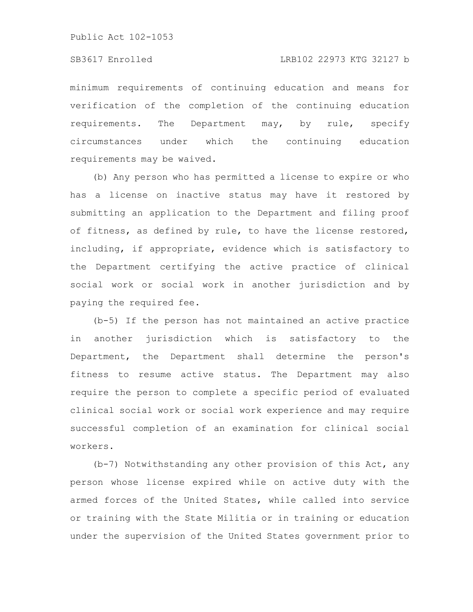minimum requirements of continuing education and means for verification of the completion of the continuing education requirements. The Department may, by rule, specify circumstances under which the continuing education requirements may be waived.

(b) Any person who has permitted a license to expire or who has a license on inactive status may have it restored by submitting an application to the Department and filing proof of fitness, as defined by rule, to have the license restored, including, if appropriate, evidence which is satisfactory to the Department certifying the active practice of clinical social work or social work in another jurisdiction and by paying the required fee.

(b-5) If the person has not maintained an active practice in another jurisdiction which is satisfactory to the Department, the Department shall determine the person's fitness to resume active status. The Department may also require the person to complete a specific period of evaluated clinical social work or social work experience and may require successful completion of an examination for clinical social workers.

(b-7) Notwithstanding any other provision of this Act, any person whose license expired while on active duty with the armed forces of the United States, while called into service or training with the State Militia or in training or education under the supervision of the United States government prior to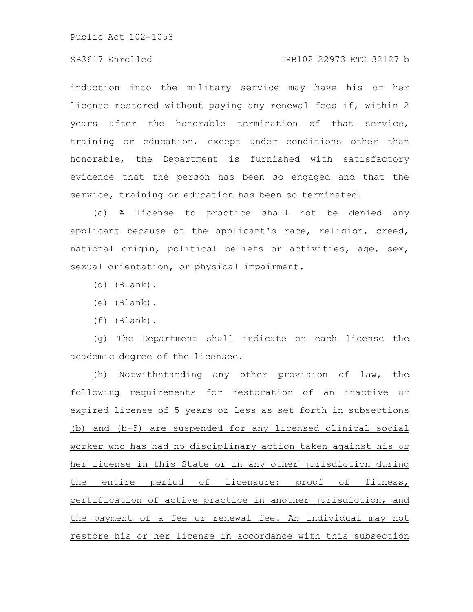#### SB3617 Enrolled LRB102 22973 KTG 32127 b

induction into the military service may have his or her license restored without paying any renewal fees if, within 2 years after the honorable termination of that service, training or education, except under conditions other than honorable, the Department is furnished with satisfactory evidence that the person has been so engaged and that the service, training or education has been so terminated.

(c) A license to practice shall not be denied any applicant because of the applicant's race, religion, creed, national origin, political beliefs or activities, age, sex, sexual orientation, or physical impairment.

- (d) (Blank).
- (e) (Blank).
- (f) (Blank).

(g) The Department shall indicate on each license the academic degree of the licensee.

(h) Notwithstanding any other provision of law, the following requirements for restoration of an inactive or expired license of 5 years or less as set forth in subsections (b) and (b-5) are suspended for any licensed clinical social worker who has had no disciplinary action taken against his or her license in this State or in any other jurisdiction during the entire period of licensure: proof of fitness, certification of active practice in another jurisdiction, and the payment of a fee or renewal fee. An individual may not restore his or her license in accordance with this subsection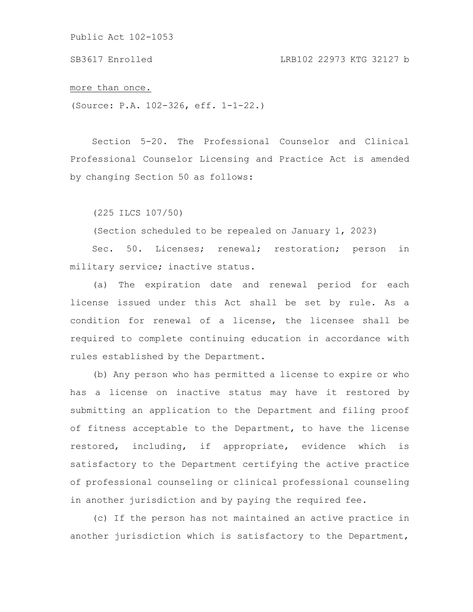SB3617 Enrolled LRB102 22973 KTG 32127 b

more than once.

(Source: P.A. 102-326, eff. 1-1-22.)

Section 5-20. The Professional Counselor and Clinical Professional Counselor Licensing and Practice Act is amended by changing Section 50 as follows:

(225 ILCS 107/50)

(Section scheduled to be repealed on January 1, 2023)

Sec. 50. Licenses; renewal; restoration; person in military service; inactive status.

(a) The expiration date and renewal period for each license issued under this Act shall be set by rule. As a condition for renewal of a license, the licensee shall be required to complete continuing education in accordance with rules established by the Department.

(b) Any person who has permitted a license to expire or who has a license on inactive status may have it restored by submitting an application to the Department and filing proof of fitness acceptable to the Department, to have the license restored, including, if appropriate, evidence which is satisfactory to the Department certifying the active practice of professional counseling or clinical professional counseling in another jurisdiction and by paying the required fee.

(c) If the person has not maintained an active practice in another jurisdiction which is satisfactory to the Department,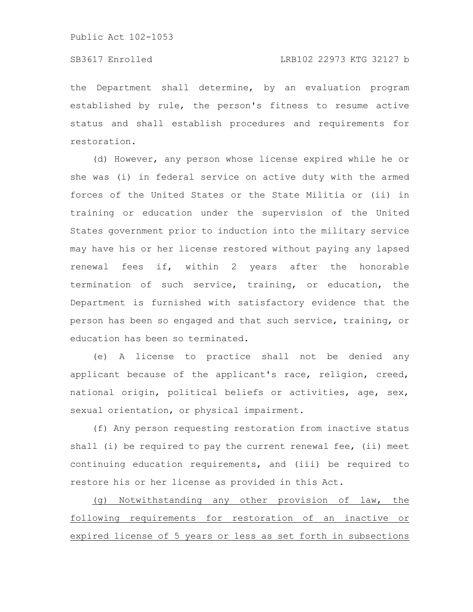#### SB3617 Enrolled LRB102 22973 KTG 32127 b

the Department shall determine, by an evaluation program established by rule, the person's fitness to resume active status and shall establish procedures and requirements for restoration.

(d) However, any person whose license expired while he or she was (i) in federal service on active duty with the armed forces of the United States or the State Militia or (ii) in training or education under the supervision of the United States government prior to induction into the military service may have his or her license restored without paying any lapsed renewal fees if, within 2 years after the honorable termination of such service, training, or education, the Department is furnished with satisfactory evidence that the person has been so engaged and that such service, training, or education has been so terminated.

(e) A license to practice shall not be denied any applicant because of the applicant's race, religion, creed, national origin, political beliefs or activities, age, sex, sexual orientation, or physical impairment.

(f) Any person requesting restoration from inactive status shall (i) be required to pay the current renewal fee, (ii) meet continuing education requirements, and (iii) be required to restore his or her license as provided in this Act.

(g) Notwithstanding any other provision of law, the following requirements for restoration of an inactive or expired license of 5 years or less as set forth in subsections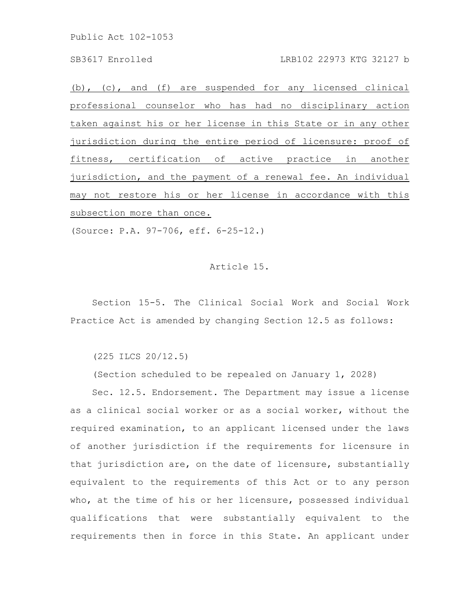#### SB3617 Enrolled LRB102 22973 KTG 32127 b

(b), (c), and (f) are suspended for any licensed clinical professional counselor who has had no disciplinary action taken against his or her license in this State or in any other jurisdiction during the entire period of licensure: proof of fitness, certification of active practice in another jurisdiction, and the payment of a renewal fee. An individual may not restore his or her license in accordance with this subsection more than once.

(Source: P.A. 97-706, eff. 6-25-12.)

#### Article 15.

Section 15-5. The Clinical Social Work and Social Work Practice Act is amended by changing Section 12.5 as follows:

(225 ILCS 20/12.5)

(Section scheduled to be repealed on January 1, 2028)

Sec. 12.5. Endorsement. The Department may issue a license as a clinical social worker or as a social worker, without the required examination, to an applicant licensed under the laws of another jurisdiction if the requirements for licensure in that jurisdiction are, on the date of licensure, substantially equivalent to the requirements of this Act or to any person who, at the time of his or her licensure, possessed individual qualifications that were substantially equivalent to the requirements then in force in this State. An applicant under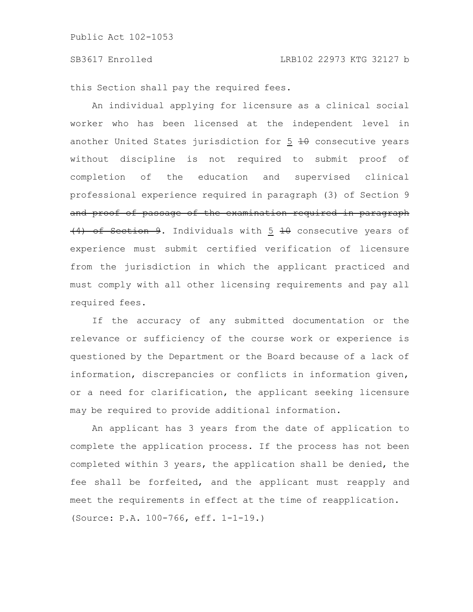this Section shall pay the required fees.

An individual applying for licensure as a clinical social worker who has been licensed at the independent level in another United States jurisdiction for  $5$   $\overline{10}$  consecutive years without discipline is not required to submit proof of completion of the education and supervised clinical professional experience required in paragraph (3) of Section 9 and proof of passage of the examination required in paragraph (4) of Section 9. Individuals with 5 10 consecutive years of experience must submit certified verification of licensure from the jurisdiction in which the applicant practiced and must comply with all other licensing requirements and pay all required fees.

If the accuracy of any submitted documentation or the relevance or sufficiency of the course work or experience is questioned by the Department or the Board because of a lack of information, discrepancies or conflicts in information given, or a need for clarification, the applicant seeking licensure may be required to provide additional information.

An applicant has 3 years from the date of application to complete the application process. If the process has not been completed within 3 years, the application shall be denied, the fee shall be forfeited, and the applicant must reapply and meet the requirements in effect at the time of reapplication. (Source: P.A. 100-766, eff. 1-1-19.)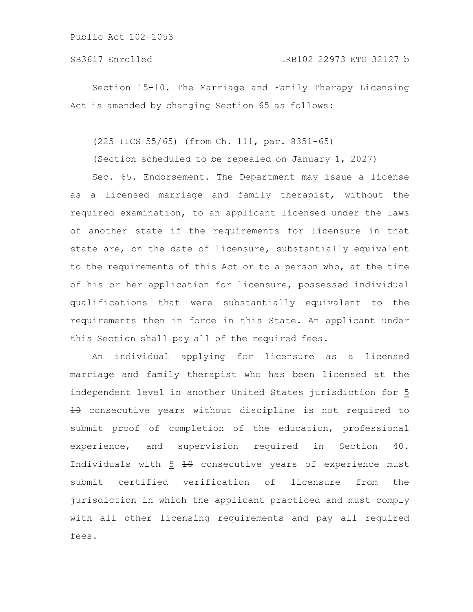Section 15-10. The Marriage and Family Therapy Licensing Act is amended by changing Section 65 as follows:

(225 ILCS 55/65) (from Ch. 111, par. 8351-65)

(Section scheduled to be repealed on January 1, 2027)

Sec. 65. Endorsement. The Department may issue a license as a licensed marriage and family therapist, without the required examination, to an applicant licensed under the laws of another state if the requirements for licensure in that state are, on the date of licensure, substantially equivalent to the requirements of this Act or to a person who, at the time of his or her application for licensure, possessed individual qualifications that were substantially equivalent to the requirements then in force in this State. An applicant under this Section shall pay all of the required fees.

An individual applying for licensure as a licensed marriage and family therapist who has been licensed at the independent level in another United States jurisdiction for 5  $\pm\theta$  consecutive years without discipline is not required to submit proof of completion of the education, professional experience, and supervision required in Section 40. Individuals with 5 10 consecutive years of experience must submit certified verification of licensure from the jurisdiction in which the applicant practiced and must comply with all other licensing requirements and pay all required fees.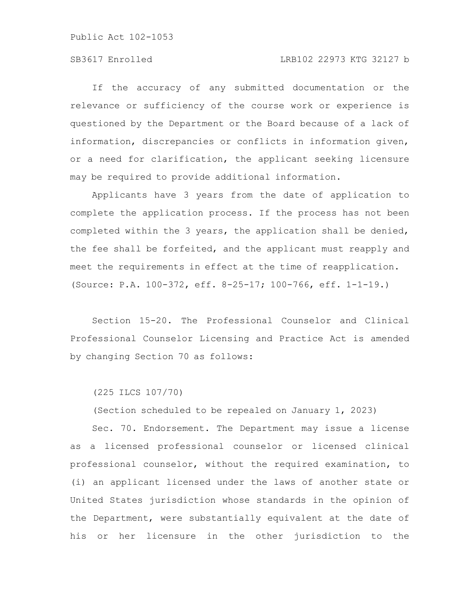### SB3617 Enrolled LRB102 22973 KTG 32127 b

If the accuracy of any submitted documentation or the relevance or sufficiency of the course work or experience is questioned by the Department or the Board because of a lack of information, discrepancies or conflicts in information given, or a need for clarification, the applicant seeking licensure may be required to provide additional information.

Applicants have 3 years from the date of application to complete the application process. If the process has not been completed within the 3 years, the application shall be denied, the fee shall be forfeited, and the applicant must reapply and meet the requirements in effect at the time of reapplication. (Source: P.A. 100-372, eff. 8-25-17; 100-766, eff. 1-1-19.)

Section 15-20. The Professional Counselor and Clinical Professional Counselor Licensing and Practice Act is amended by changing Section 70 as follows:

(225 ILCS 107/70)

(Section scheduled to be repealed on January 1, 2023)

Sec. 70. Endorsement. The Department may issue a license as a licensed professional counselor or licensed clinical professional counselor, without the required examination, to (i) an applicant licensed under the laws of another state or United States jurisdiction whose standards in the opinion of the Department, were substantially equivalent at the date of his or her licensure in the other jurisdiction to the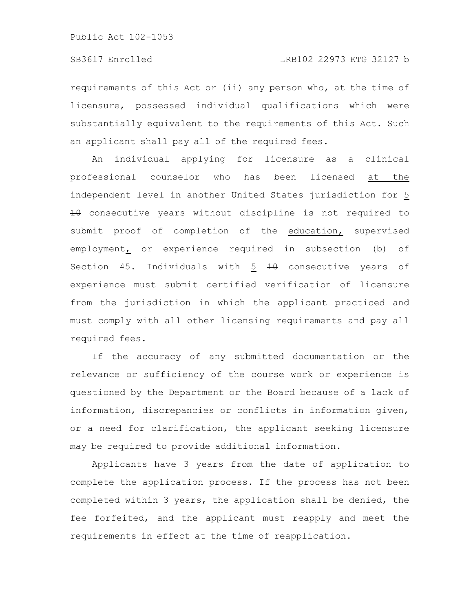requirements of this Act or (ii) any person who, at the time of licensure, possessed individual qualifications which were substantially equivalent to the requirements of this Act. Such an applicant shall pay all of the required fees.

An individual applying for licensure as a clinical professional counselor who has been licensed at the independent level in another United States jurisdiction for 5 10 consecutive years without discipline is not required to submit proof of completion of the education, supervised employment, or experience required in subsection (b) of Section 45. Individuals with  $5\overline{10}$  + consecutive years of experience must submit certified verification of licensure from the jurisdiction in which the applicant practiced and must comply with all other licensing requirements and pay all required fees.

If the accuracy of any submitted documentation or the relevance or sufficiency of the course work or experience is questioned by the Department or the Board because of a lack of information, discrepancies or conflicts in information given, or a need for clarification, the applicant seeking licensure may be required to provide additional information.

Applicants have 3 years from the date of application to complete the application process. If the process has not been completed within 3 years, the application shall be denied, the fee forfeited, and the applicant must reapply and meet the requirements in effect at the time of reapplication.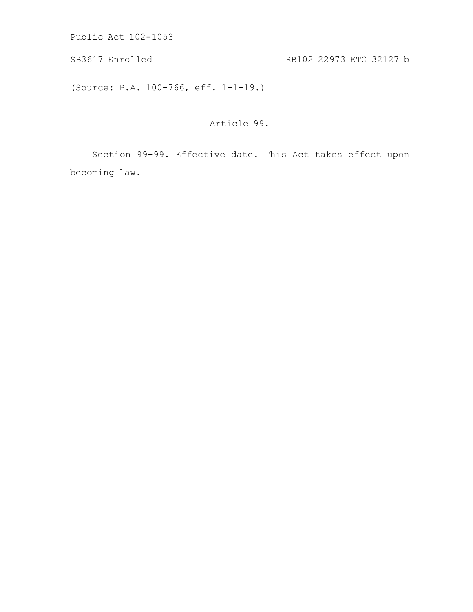SB3617 Enrolled LRB102 22973 KTG 32127 b

(Source: P.A. 100-766, eff. 1-1-19.)

Article 99.

Section 99-99. Effective date. This Act takes effect upon becoming law.